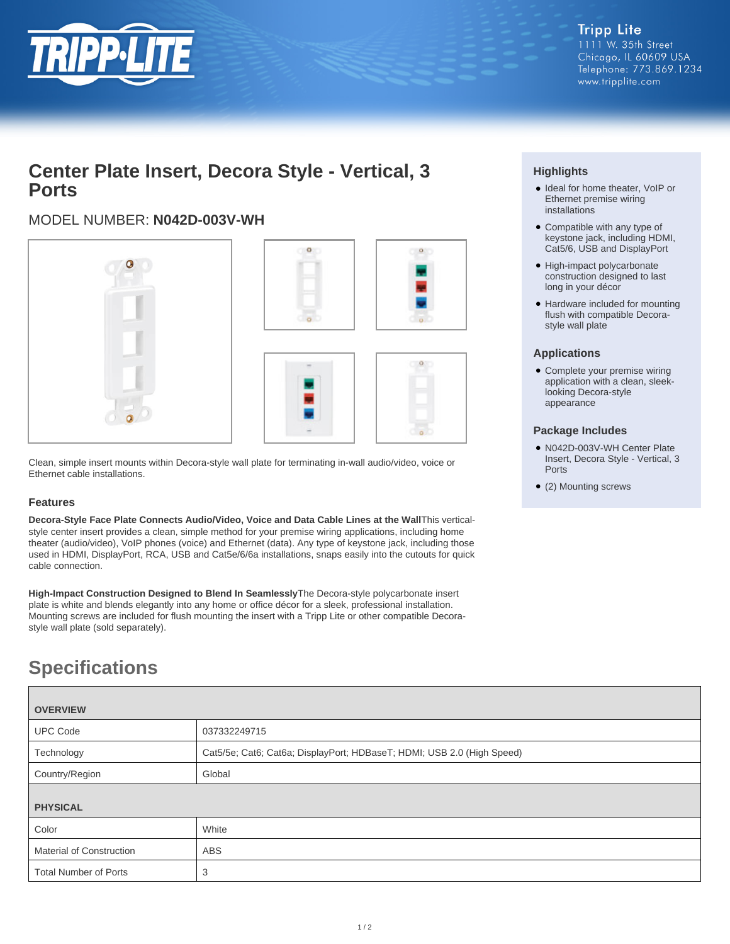

## **Center Plate Insert, Decora Style - Vertical, 3 Ports**

### MODEL NUMBER: **N042D-003V-WH**



Clean, simple insert mounts within Decora-style wall plate for terminating in-wall audio/video, voice or Ethernet cable installations.

### **Features**

**Decora-Style Face Plate Connects Audio/Video, Voice and Data Cable Lines at the Wall**This verticalstyle center insert provides a clean, simple method for your premise wiring applications, including home theater (audio/video), VoIP phones (voice) and Ethernet (data). Any type of keystone jack, including those used in HDMI, DisplayPort, RCA, USB and Cat5e/6/6a installations, snaps easily into the cutouts for quick cable connection.

**High-Impact Construction Designed to Blend In Seamlessly**The Decora-style polycarbonate insert plate is white and blends elegantly into any home or office décor for a sleek, professional installation. Mounting screws are included for flush mounting the insert with a Tripp Lite or other compatible Decorastyle wall plate (sold separately).

# **Specifications**

| <b>OVERVIEW</b>                 |                                                                        |  |
|---------------------------------|------------------------------------------------------------------------|--|
| <b>UPC Code</b>                 | 037332249715                                                           |  |
| Technology                      | Cat5/5e; Cat6; Cat6a; DisplayPort; HDBaseT; HDMI; USB 2.0 (High Speed) |  |
| Country/Region                  | Global                                                                 |  |
| <b>PHYSICAL</b>                 |                                                                        |  |
| Color                           | White                                                                  |  |
| <b>Material of Construction</b> | <b>ABS</b>                                                             |  |
| <b>Total Number of Ports</b>    | 3                                                                      |  |

### **Highlights**

- Ideal for home theater, VoIP or Ethernet premise wiring installations
- Compatible with any type of keystone jack, including HDMI, Cat5/6, USB and DisplayPort
- High-impact polycarbonate construction designed to last long in your décor
- Hardware included for mounting flush with compatible Decorastyle wall plate

### **Applications**

• Complete your premise wiring application with a clean, sleeklooking Decora-style appearance

#### **Package Includes**

- N042D-003V-WH Center Plate Insert, Decora Style - Vertical, 3 Ports
- (2) Mounting screws